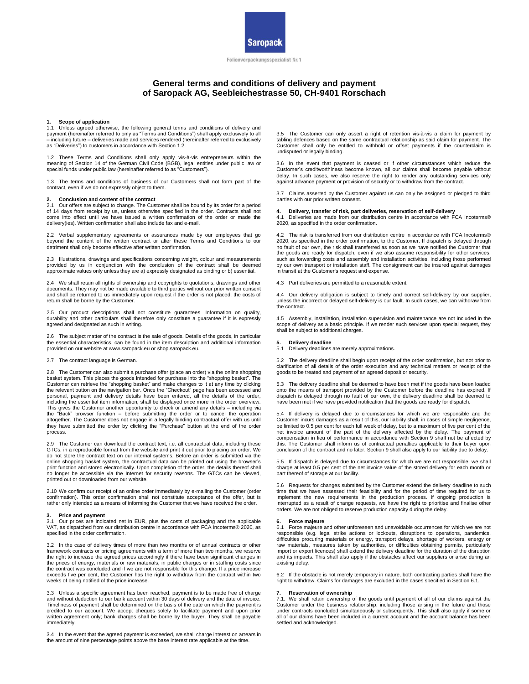

Folienverpackungsspezialist Nr.1

# **General terms and conditions of delivery and payment of Saropack AG, Seebleichestrasse 50, CH-9401 Rorschach**

### **1. Scope of application**

1.1 Unless agreed otherwise, the following general terms and conditions of delivery and payment (hereinafter referred to only as "Terms and Conditions") shall apply exclusively to all – including future – deliveries made and services rendered (hereinafter referred to exclusively as "Deliveries") to customers in accordance with Section 1.2.

1.2 These Terms and Conditions shall only apply vis-à-vis entrepreneurs within the meaning of Section 14 of the German Civil Code (BGB), legal entities under public law or special funds under public law (hereinafter referred to as "Customers").

1.3 The terms and conditions of business of our Customers shall not form part of the contract, even if we do not expressly object to them.

#### **2. Conclusion and content of the contract**

2.1 Our offers are subject to change. The Customer shall be bound by its order for a period of 14 days from receipt by us, unless otherwise specified in the order. Contracts shall not come into effect until we have issued a written confirmation of the order or made the delivery(ies). Written confirmation shall also include fax and e-mail.

2.2 Verbal supplementary agreements or assurances made by our employees that go beyond the content of the written contract or alter these Terms and Conditions to our detriment shall only become effective after written confirmation.

2.3 Illustrations, drawings and specifications concerning weight, colour and measurements provided by us in conjunction with the conclusion of the contract shall be deemed approximate values only unless they are a) expressly designated as binding or b) essential.

2.4 We shall retain all rights of ownership and copyrights to quotations, drawings and other documents. They may not be made available to third parties without our prior written consent and shall be returned to us immediately upon request if the order is not placed; the costs of return shall be borne by the Customer.

2.5 Our product descriptions shall not constitute guarantees. Information on quality, durability and other particulars shall therefore only constitute a guarantee if it is expressly agreed and designated as such in writing.

2.6 The subject matter of the contract is the sale of goods. Details of the goods, in particular the essential characteristics, can be found in the item description and additional information provided on our website at www.saropack.eu or shop.saropack.eu.

## 2.7 The contract language is German.

2.8 The Customer can also submit a purchase offer (place an order) via the online shopping basket system. This places the goods intended for purchase into the "shopping basket" Customer can retrieve the "shopping basket" and make changes to it at any time by clicking the relevant button on the navigation bar. Once the "Checkout" page has been accessed and personal, payment and delivery details have been entered, all the details of the order, including the essential item information, shall be displayed once more in the order overview. This gives the Customer another opportunity to check or amend any details – including via the "Back" browser function – before submitting the order or to cancel the operation altogether. The Customer does not engage in a legally binding contractual offer with us until they have submitted the order by clicking the "Purchase" button at the end of the order process.

2.9 The Customer can download the contract text, i.e. all contractual data, including these GTCs, in a reproducible format from the website and print it out prior to placing an order. We do not store the contract text on our internal systems. Before an order is submitted via the online shopping basket system, the contractual data can be printed out using the browser's print function and stored electronically. Upon completion of the order, the details thereof shall no longer be accessible via the Internet for security reasons. The GTCs can be viewed, printed out or downloaded from our website.

2.10 We confirm our receipt of an online order immediately by e-mailing the Customer (order confirmation). This order confirmation shall not constitute acceptance of the offer, but is rather only intended as a means of informing the Customer that we have received the order.

#### **3. Price and payment**

3.1 Our prices are indicated net in EUR, plus the costs of packaging and the applicable VAT, as dispatched from our distribution centre in accordance with FCA Incoterms® 2020, as specified in the order confirmation.

3.2 In the case of delivery times of more than two months or of annual contracts or other framework contracts or pricing agreements with a term of more than two months, we reserve the right to increase the agreed prices accordingly if there have been significant changes in the prices of energy, materials or raw materials, in public charges or in staffing costs since the contract was concluded and if we are not responsible for this change. If a price increase exceeds five per cent, the Customer has the right to withdraw from the contract within two weeks of being notified of the price increase.

3.3 Unless a specific agreement has been reached, payment is to be made free of charge and without deduction to our bank account within 30 days of delivery and the date of invoice. Timeliness of payment shall be determined on the basis of the date on which the payment is credited to our account. We accept cheques solely to facilitate payment and upon prior written agreement only; bank charges shall be borne by the buyer. They shall be payable immediately.

3.4 In the event that the agreed payment is exceeded, we shall charge interest on arrears in the amount of nine percentage points above the base interest rate applicable at the time.

3.5 The Customer can only assert a right of retention vis-à-vis a claim for payment by tabling defences based on the same contractual relationship as said claim for payment. The Customer shall only be entitled to withhold or offset payments if the counterclaim is undisputed or legally binding.

3.6 In the event that payment is ceased or if other circumstances which reduce the Customer's creditworthiness become known, all our claims shall become payable without delay. In such cases, we also reserve the right to render any outstanding services only against advance payment or provision of security or to withdraw from the contract.

3.7 Claims asserted by the Customer against us can only be assigned or pledged to third parties with our prior written consent.

**4. Delivery, transfer of risk, part deliveries, reservation of self-delivery** 4.1 Deliveries are made from our distribution centre in accordance with FCA Incoterms® 2020, as specified in the order confirmation.

4.2 The risk is transferred from our distribution centre in accordance with FCA Incoterms® 2020, as specified in the order confirmation, to the Customer. If dispatch is delayed through no fault of our own, the risk shall transferred as soon as we have notified the Customer that the goods are ready for dispatch, even if we also assume responsibility for other services, such as forwarding costs and assembly and installation activities, including those performed by our own transport or installation staff. The consignment can be insured against damages in transit at the Customer's request and expense.

4.3 Part deliveries are permitted to a reasonable extent.

4.4 Our delivery obligation is subject to timely and correct self-delivery by our supplier, unless the incorrect or delayed self-delivery is our fault. In such cases, we can withdraw from the contract.

4.5 Assembly, installation, installation supervision and maintenance are not included in the scope of delivery as a basic principle. If we render such services upon special request, they shall be subject to additional charges.

#### **5. Delivery deadline**

5.1 Delivery deadlines are merely approximations.

5.2 The delivery deadline shall begin upon receipt of the order confirmation, but not prior to clarification of all details of the order execution and any technical matters or receipt of the goods to be treated and payment of an agreed deposit or security.

5.3 The delivery deadline shall be deemed to have been met if the goods have been loaded onto the means of transport provided by the Customer before the deadline has expired. If dispatch is delayed through no fault of our own, the delivery deadline shall be deemed to have been met if we have provided notification that the goods are ready for dispatch.

5.4 If delivery is delayed due to circumstances for which we are responsible and the Customer incurs damages as a result of this, our liability shall, in cases of simple negligence, be limited to 0.5 per cent for each full week of delay, but to a maximum of five per cent of the net invoice amount of the part of the delivery affected by the delay. The payment of compensation in lieu of performance in accordance with Section 9 shall not be affected by this. The Customer shall inform us of contractual penalties applicable to their buyer upon conclusion of the contract and no later. Section 9 shall also apply to our liability due to delay.

5.5 If dispatch is delayed due to circumstances for which we are not responsible, we shall charge at least 0.5 per cent of the net invoice value of the stored delivery for each month or part thereof of storage at our facility.

5.6 Requests for changes submitted by the Customer extend the delivery deadline to such time that we have assessed their feasibility and for the period of time required for us to<br>implement the new requirements in the production process. If ongoing production is<br>interrupted as a result of change requests, we h orders. We are not obliged to reserve production capacity during the delay.

#### **6. Force majeure**

6.1 Force majeure and other unforeseen and unavoidable occurrences for which we are not responsible (e.g. legal strike actions or lockouts, disruptions to operations, pandemics, difficulties procuring materials or energy, transport delays, shortage of workers, energy or raw materials, measures taken by authorities, or difficulties obtaining permits, particularly import or export licences) shall extend the delivery deadline for the duration of the disruption and its impacts. This shall also apply if the obstacles affect our suppliers or arise during an existing delay.

6.2 If the obstacle is not merely temporary in nature, both contracting parties shall have the right to withdraw. Claims for damages are excluded in the cases specified in Section 6.1.

## **7. Reservation of ownership**

7.1. We shall retain ownership of the goods until payment of all of our claims against the Customer under the business relationship, including those arising in the future and those under contracts concluded simultaneously or subsequently. This shall also apply if some or all of our claims have been included in a current account and the account balance has been settled and acknowledged.